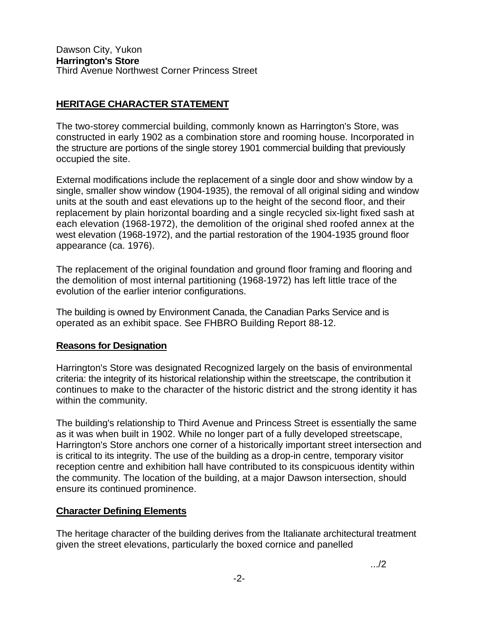## **HERITAGE CHARACTER STATEMENT**

The two-storey commercial building, commonly known as Harrington's Store, was constructed in early 1902 as a combination store and rooming house. Incorporated in the structure are portions of the single storey 1901 commercial building that previously occupied the site.

External modifications include the replacement of a single door and show window by a single, smaller show window (1904-1935), the removal of all original siding and window units at the south and east elevations up to the height of the second floor, and their replacement by plain horizontal boarding and a single recycled six-light fixed sash at each elevation (1968-1972), the demolition of the original shed roofed annex at the west elevation (1968-1972), and the partial restoration of the 1904-1935 ground floor appearance (ca. 1976).

The replacement of the original foundation and ground floor framing and flooring and the demolition of most internal partitioning (1968-1972) has left little trace of the evolution of the earlier interior configurations.

The building is owned by Environment Canada, the Canadian Parks Service and is operated as an exhibit space. See FHBRO Building Report 88-12.

## **Reasons for Designation**

Harrington's Store was designated Recognized largely on the basis of environmental criteria: the integrity of its historical relationship within the streetscape, the contribution it continues to make to the character of the historic district and the strong identity it has within the community.

The building's relationship to Third Avenue and Princess Street is essentially the same as it was when built in 1902. While no longer part of a fully developed streetscape, Harrington's Store anchors one corner of a historically important street intersection and is critical to its integrity. The use of the building as a drop-in centre, temporary visitor reception centre and exhibition hall have contributed to its conspicuous identity within the community. The location of the building, at a major Dawson intersection, should ensure its continued prominence.

## **Character Defining Elements**

The heritage character of the building derives from the Italianate architectural treatment given the street elevations, particularly the boxed cornice and panelled